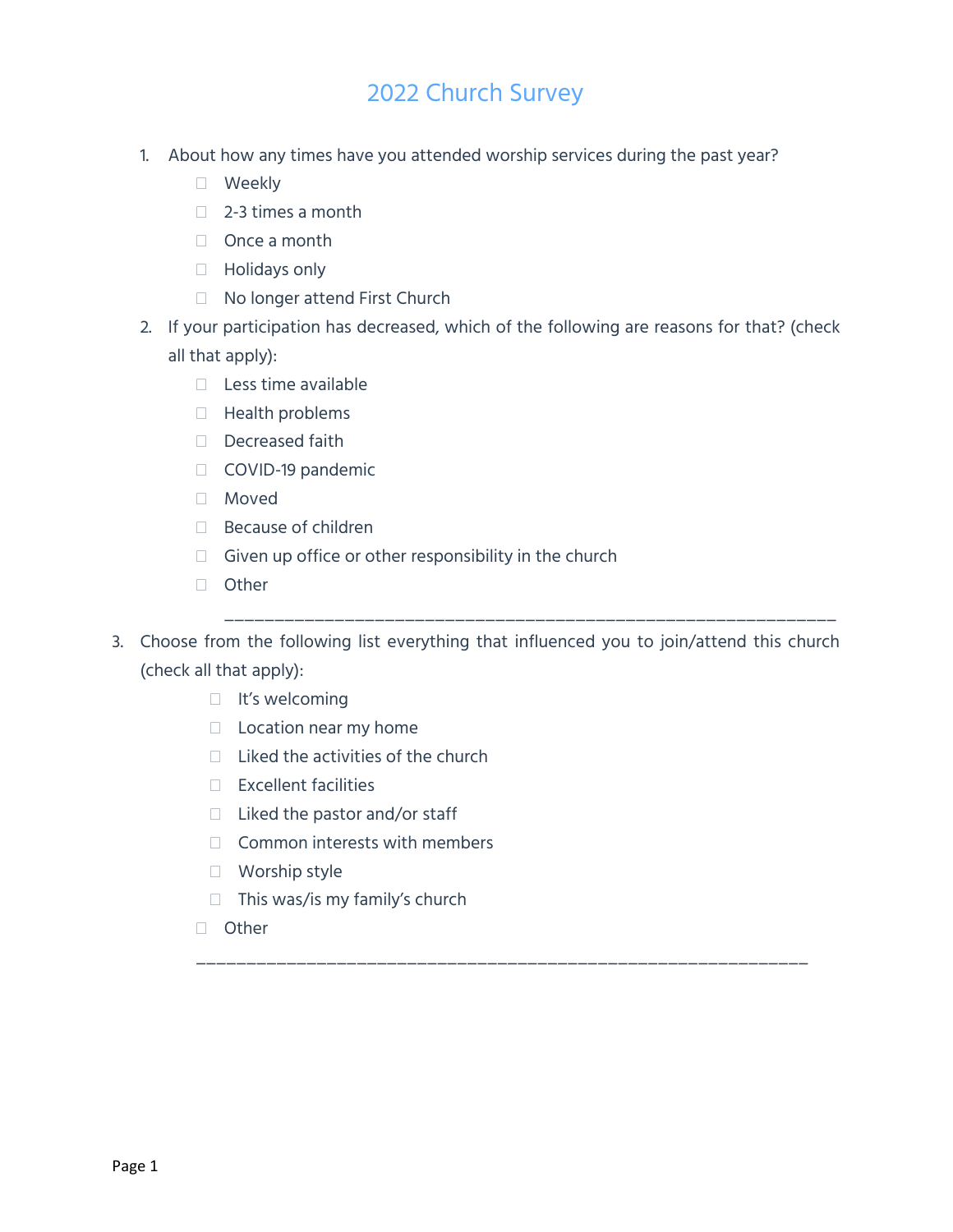- 1. About how any times have you attended worship services during the past year?
	- Weekly
	- $\Box$  2-3 times a month
	- □ Once a month
	- □ Holidays only
	- □ No longer attend First Church
- 2. If your participation has decreased, which of the following are reasons for that? (check all that apply):
	- $\Box$  Less time available
	- $\Box$  Health problems
	- Decreased faith
	- COVID-19 pandemic
	- Moved
	- □ Because of children
	- $\Box$  Given up office or other responsibility in the church
	- □ Other
- 3. Choose from the following list everything that influenced you to join/attend this church (check all that apply):

\_\_\_\_\_\_\_\_\_\_\_\_\_\_\_\_\_\_\_\_\_\_\_\_\_\_\_\_\_\_\_\_\_\_\_\_\_\_\_\_\_\_\_\_\_\_\_\_\_\_\_\_\_\_\_\_\_\_\_\_\_

\_\_\_\_\_\_\_\_\_\_\_\_\_\_\_\_\_\_\_\_\_\_\_\_\_\_\_\_\_\_\_\_\_\_\_\_\_\_\_\_\_\_\_\_\_\_\_\_\_\_\_\_\_\_\_\_\_\_\_\_\_

- $\Box$  It's welcoming
- $\Box$  Location near my home
- $\Box$  Liked the activities of the church
- $\Box$  Excellent facilities
- $\Box$  Liked the pastor and/or staff
- $\Box$  Common interests with members
- □ Worship style
- $\Box$  This was/is my family's church
- □ Other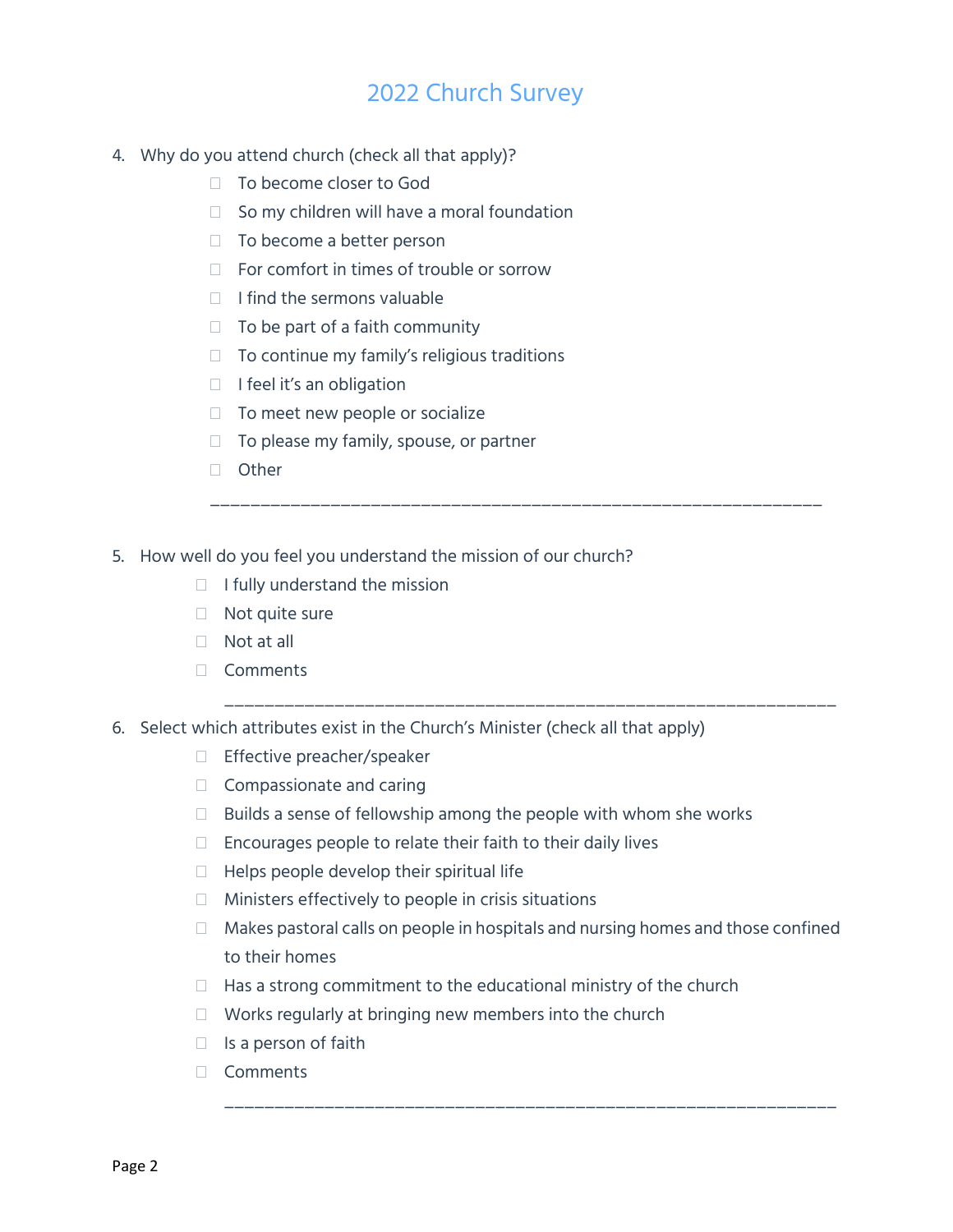- 4. Why do you attend church (check all that apply)?
	- □ To become closer to God
	- $\Box$  So my children will have a moral foundation
	- $\Box$  To become a better person
	- $\Box$  For comfort in times of trouble or sorrow
	- $\Box$  I find the sermons valuable
	- $\Box$  To be part of a faith community
	- $\Box$  To continue my family's religious traditions
	- $\Box$  I feel it's an obligation
	- $\Box$  To meet new people or socialize
	- $\Box$  To please my family, spouse, or partner
	- □ Other
- 5. How well do you feel you understand the mission of our church?
	- $\Box$  I fully understand the mission
	- □ Not quite sure
	- $\Box$  Not at all
	- Comments
- 6. Select which attributes exist in the Church's Minister (check all that apply)
	- □ Effective preacher/speaker
	- Compassionate and caring
	- $\Box$  Builds a sense of fellowship among the people with whom she works
	- $\Box$  Encourages people to relate their faith to their daily lives
	- $\Box$  Helps people develop their spiritual life
	- $\Box$  Ministers effectively to people in crisis situations
	- $\Box$  Makes pastoral calls on people in hospitals and nursing homes and those confined to their homes

\_\_\_\_\_\_\_\_\_\_\_\_\_\_\_\_\_\_\_\_\_\_\_\_\_\_\_\_\_\_\_\_\_\_\_\_\_\_\_\_\_\_\_\_\_\_\_\_\_\_\_\_\_\_\_\_\_\_\_\_\_

\_\_\_\_\_\_\_\_\_\_\_\_\_\_\_\_\_\_\_\_\_\_\_\_\_\_\_\_\_\_\_\_\_\_\_\_\_\_\_\_\_\_\_\_\_\_\_\_\_\_\_\_\_\_\_\_\_\_\_\_\_

\_\_\_\_\_\_\_\_\_\_\_\_\_\_\_\_\_\_\_\_\_\_\_\_\_\_\_\_\_\_\_\_\_\_\_\_\_\_\_\_\_\_\_\_\_\_\_\_\_\_\_\_\_\_\_\_\_\_\_\_\_

- $\Box$  Has a strong commitment to the educational ministry of the church
- $\Box$  Works regularly at bringing new members into the church
- $\Box$  Is a person of faith
- Comments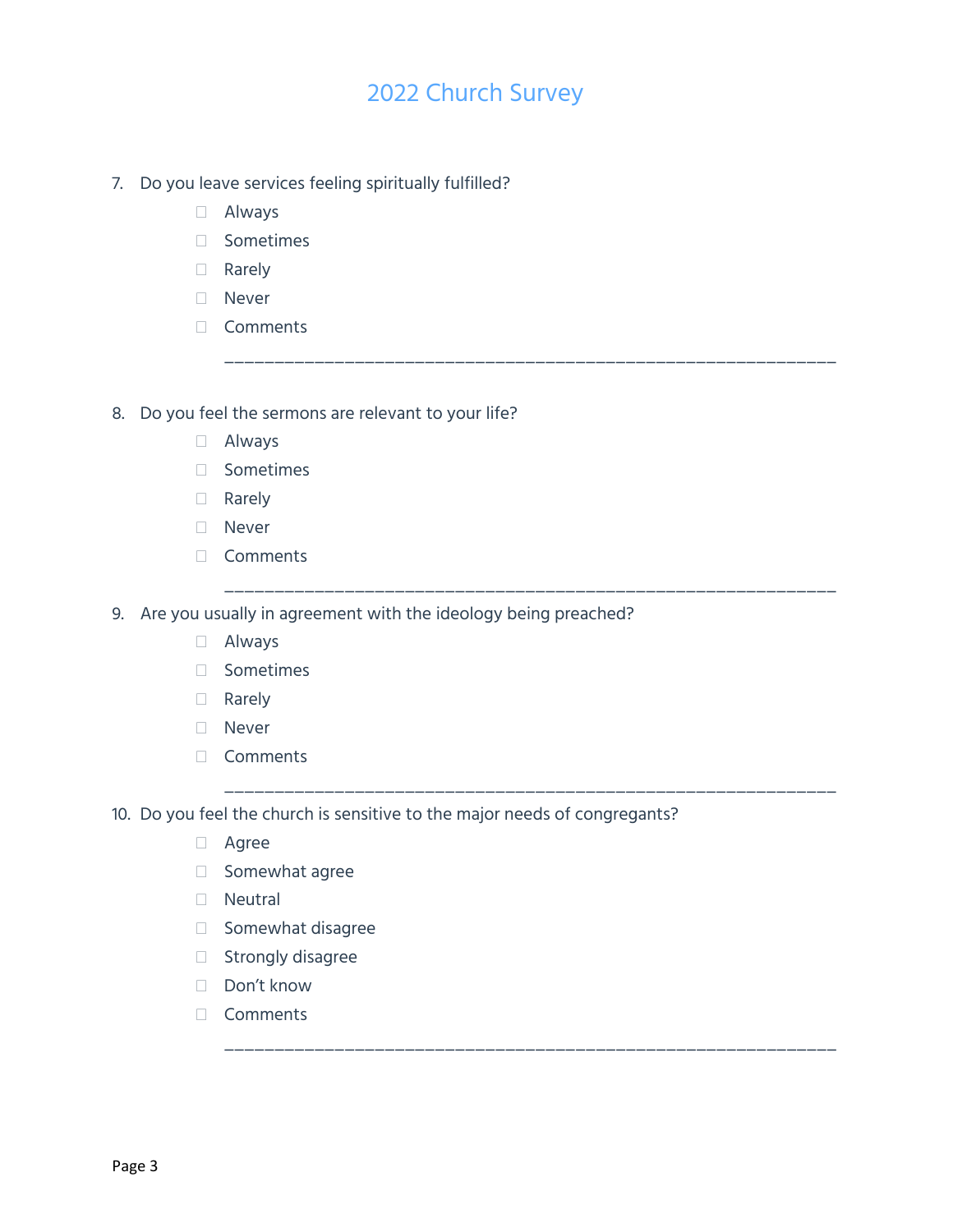\_\_\_\_\_\_\_\_\_\_\_\_\_\_\_\_\_\_\_\_\_\_\_\_\_\_\_\_\_\_\_\_\_\_\_\_\_\_\_\_\_\_\_\_\_\_\_\_\_\_\_\_\_\_\_\_\_\_\_\_\_

\_\_\_\_\_\_\_\_\_\_\_\_\_\_\_\_\_\_\_\_\_\_\_\_\_\_\_\_\_\_\_\_\_\_\_\_\_\_\_\_\_\_\_\_\_\_\_\_\_\_\_\_\_\_\_\_\_\_\_\_\_

\_\_\_\_\_\_\_\_\_\_\_\_\_\_\_\_\_\_\_\_\_\_\_\_\_\_\_\_\_\_\_\_\_\_\_\_\_\_\_\_\_\_\_\_\_\_\_\_\_\_\_\_\_\_\_\_\_\_\_\_\_

\_\_\_\_\_\_\_\_\_\_\_\_\_\_\_\_\_\_\_\_\_\_\_\_\_\_\_\_\_\_\_\_\_\_\_\_\_\_\_\_\_\_\_\_\_\_\_\_\_\_\_\_\_\_\_\_\_\_\_\_\_

- 7. Do you leave services feeling spiritually fulfilled?
	- Always
	- Sometimes
	- Rarely
	- Never
	- Comments

8. Do you feel the sermons are relevant to your life?

- Always
- Sometimes
- Rarely
- Never
- Comments

9. Are you usually in agreement with the ideology being preached?

- Always
- Sometimes
- Rarely
- □ Never
- Comments

10. Do you feel the church is sensitive to the major needs of congregants?

- Agree
- Somewhat agree
- Neutral
- Somewhat disagree
- □ Strongly disagree
- Don't know
- Comments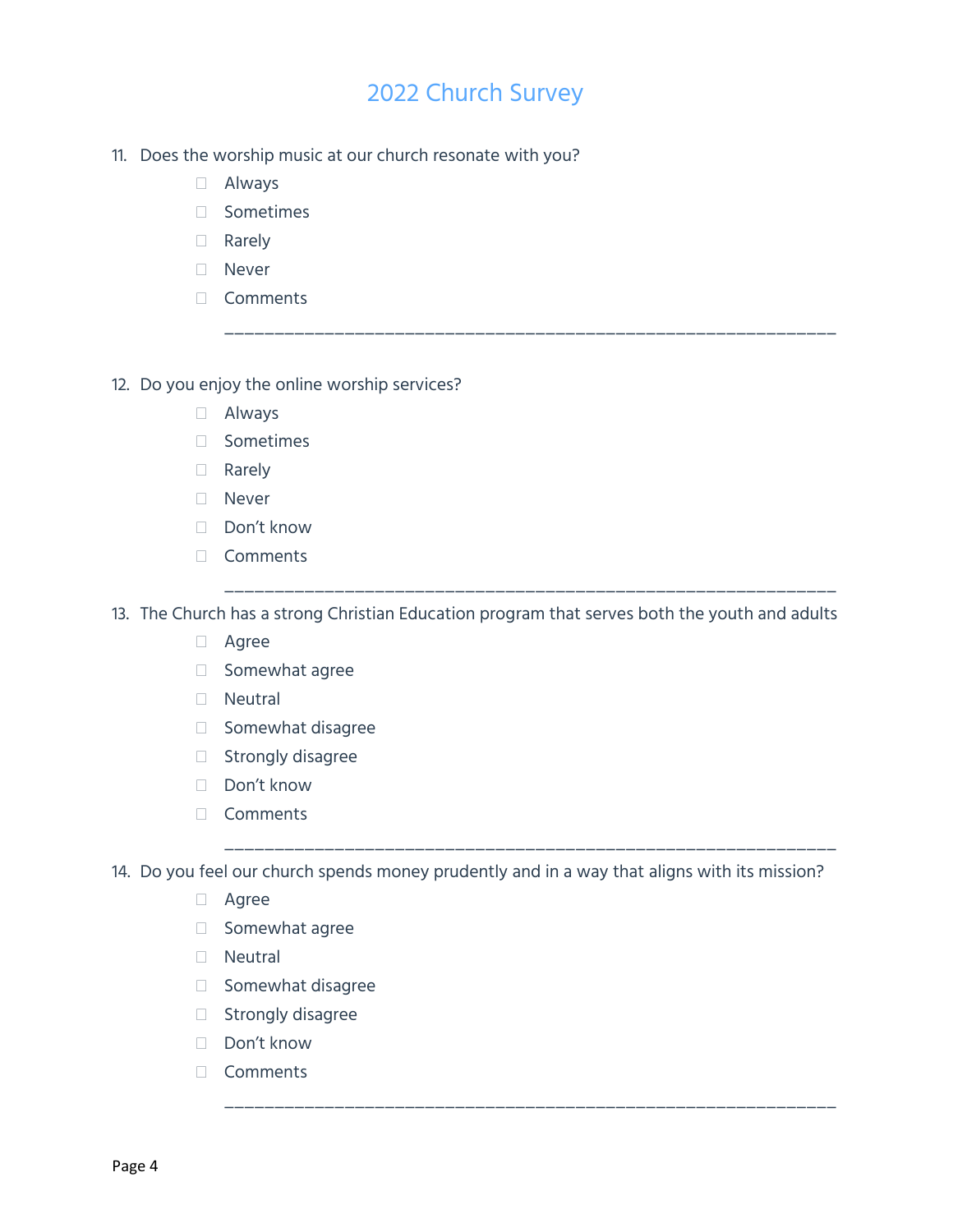\_\_\_\_\_\_\_\_\_\_\_\_\_\_\_\_\_\_\_\_\_\_\_\_\_\_\_\_\_\_\_\_\_\_\_\_\_\_\_\_\_\_\_\_\_\_\_\_\_\_\_\_\_\_\_\_\_\_\_\_\_

\_\_\_\_\_\_\_\_\_\_\_\_\_\_\_\_\_\_\_\_\_\_\_\_\_\_\_\_\_\_\_\_\_\_\_\_\_\_\_\_\_\_\_\_\_\_\_\_\_\_\_\_\_\_\_\_\_\_\_\_\_

\_\_\_\_\_\_\_\_\_\_\_\_\_\_\_\_\_\_\_\_\_\_\_\_\_\_\_\_\_\_\_\_\_\_\_\_\_\_\_\_\_\_\_\_\_\_\_\_\_\_\_\_\_\_\_\_\_\_\_\_\_

\_\_\_\_\_\_\_\_\_\_\_\_\_\_\_\_\_\_\_\_\_\_\_\_\_\_\_\_\_\_\_\_\_\_\_\_\_\_\_\_\_\_\_\_\_\_\_\_\_\_\_\_\_\_\_\_\_\_\_\_\_

- 11. Does the worship music at our church resonate with you?
	- Always
	- Sometimes
	- Rarely
	- Never
	- Comments
- 12. Do you enjoy the online worship services?
	- Always
	- Sometimes
	- Rarely
	- Never
	- □ Don't know
	- Comments

13. The Church has a strong Christian Education program that serves both the youth and adults

- Agree
- Somewhat agree
- Neutral
- Somewhat disagree
- □ Strongly disagree
- □ Don't know
- Comments

14. Do you feel our church spends money prudently and in a way that aligns with its mission?

- Agree
- Somewhat agree
- Neutral
- Somewhat disagree
- $\Box$  Strongly disagree
- Don't know
- Comments